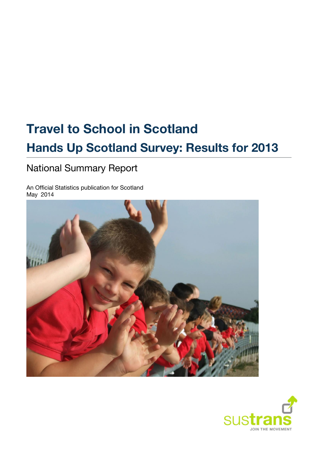# **Travel to School in Scotland Hands Up Scotland Survey: Results for 2013**

# National Summary Report

An Official Statistics publication for Scotland May 2014



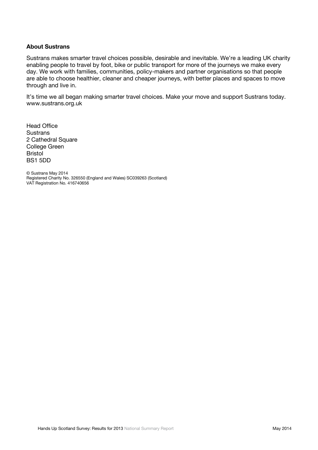#### **About Sustrans**

Sustrans makes smarter travel choices possible, desirable and inevitable. We're a leading UK charity enabling people to travel by foot, bike or public transport for more of the journeys we make every day. We work with families, communities, policy-makers and partner organisations so that people are able to choose healthier, cleaner and cheaper journeys, with better places and spaces to move through and live in.

It's time we all began making smarter travel choices. Make your move and support Sustrans today. [www.sustrans.org.uk](http://www.sustrans.org.uk/)

Head Office **Sustrans** 2 Cathedral Square College Green Bristol BS1 5DD

© Sustrans May 2014 Registered Charity No. 326550 (England and Wales) SC039263 (Scotland) VAT Registration No. 416740656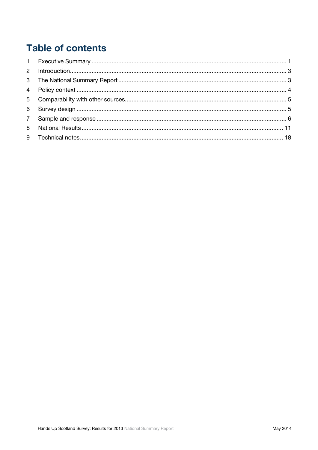# **Table of contents**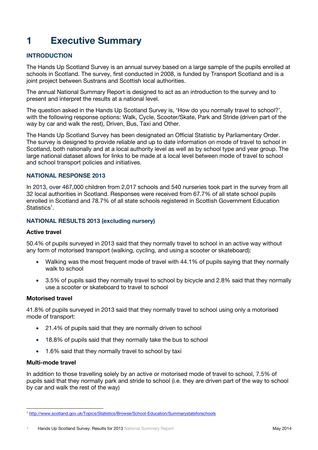# <span id="page-3-0"></span>**1 Executive Summary**

# **INTRODUCTION**

The Hands Up Scotland Survey is an annual survey based on a large sample of the pupils enrolled at schools in Scotland. The survey, first conducted in 2008, is funded by Transport Scotland and is a joint project between Sustrans and Scottish local authorities.

The annual National Summary Report is designed to act as an introduction to the survey and to present and interpret the results at a national level.

The question asked in the Hands Up Scotland Survey is, 'How do you normally travel to school?', with the following response options: Walk, Cycle, Scooter/Skate, Park and Stride (driven part of the way by car and walk the rest), Driven, Bus, Taxi and Other.

The Hands Up Scotland Survey has been designated an Official Statistic by Parliamentary Order. The survey is designed to provide reliable and up to date information on mode of travel to school in Scotland, both nationally and at a local authority level as well as by school type and year group. The large national dataset allows for links to be made at a local level between mode of travel to school and school transport policies and initiatives.

### **NATIONAL RESPONSE 2013**

In 2013, over 467,000 children from 2,017 schools and 540 nurseries took part in the survey from all 32 local authorities in Scotland. Responses were received from 67.7% of all state school pupils enrolled in Scotland and 78.7% of all state schools registered in Scottish Government Education Statistics<sup>1</sup>.

### **NATIONAL RESULTS 2013 (excluding nursery)**

#### **Active travel**

50.4% of pupils surveyed in 2013 said that they normally travel to school in an active way without any form of motorised transport (walking, cycling, and using a scooter or skateboard):

- Walking was the most frequent mode of travel with 44.1% of pupils saying that they normally walk to school
- 3.5% of pupils said they normally travel to school by bicycle and 2.8% said that they normally use a scooter or skateboard to travel to school

#### **Motorised travel**

41.8% of pupils surveyed in 2013 said that they normally travel to school using only a motorised mode of transport:

- 21.4% of pupils said that they are normally driven to school
- 18.8% of pupils said that they normally take the bus to school
- 1.6% said that they normally travel to school by taxi

### **Multi-mode travel**

In addition to those travelling solely by an active or motorised mode of travel to school, 7.5% of pupils said that they normally park and stride to school (i.e. they are driven part of the way to school by car and walk the rest of the way)

<sup>1</sup> <http://www.scotland.gov.uk/Topics/Statistics/Browse/School-Education/Summarystatsforschools>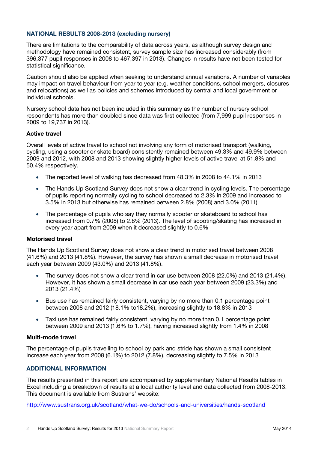# **NATIONAL RESULTS 2008-2013 (excluding nursery)**

There are limitations to the comparability of data across years, as although survey design and methodology have remained consistent, survey sample size has increased considerably (from 396,377 pupil responses in 2008 to 467,397 in 2013). Changes in results have not been tested for statistical significance.

Caution should also be applied when seeking to understand annual variations. A number of variables may impact on travel behaviour from year to year (e.g. weather conditions, school mergers, closures and relocations) as well as policies and schemes introduced by central and local government or individual schools.

Nursery school data has not been included in this summary as the number of nursery school respondents has more than doubled since data was first collected (from 7,999 pupil responses in 2009 to 19,737 in 2013).

### **Active travel**

Overall levels of active travel to school not involving any form of motorised transport (walking, cycling, using a scooter or skate board) consistently remained between 49.3% and 49.9% between 2009 and 2012, with 2008 and 2013 showing slightly higher levels of active travel at 51.8% and 50.4% respectively.

- The reported level of walking has decreased from 48.3% in 2008 to 44.1% in 2013
- The Hands Up Scotland Survey does not show a clear trend in cycling levels. The percentage of pupils reporting normally cycling to school decreased to 2.3% in 2009 and increased to 3.5% in 2013 but otherwise has remained between 2.8% (2008) and 3.0% (2011)
- The percentage of pupils who say they normally scooter or skateboard to school has increased from 0.7% (2008) to 2.8% (2013). The level of scooting/skating has increased in every year apart from 2009 when it decreased slightly to 0.6%

#### **Motorised travel**

The Hands Up Scotland Survey does not show a clear trend in motorised travel between 2008 (41.6%) and 2013 (41.8%). However, the survey has shown a small decrease in motorised travel each year between 2009 (43.0%) and 2013 (41.8%).

- The survey does not show a clear trend in car use between 2008 (22.0%) and 2013 (21.4%). However, it has shown a small decrease in car use each year between 2009 (23.3%) and 2013 (21.4%)
- Bus use has remained fairly consistent, varying by no more than 0.1 percentage point between 2008 and 2012 (18.1% to18.2%), increasing slightly to 18.8% in 2013
- Taxi use has remained fairly consistent, varying by no more than 0.1 percentage point between 2009 and 2013 (1.6% to 1.7%), having increased slightly from 1.4% in 2008

#### **Multi-mode travel**

The percentage of pupils travelling to school by park and stride has shown a small consistent increase each year from 2008 (6.1%) to 2012 (7.8%), decreasing slightly to 7.5% in 2013

# **ADDITIONAL INFORMATION**

The results presented in this report are accompanied by supplementary National Results tables in Excel including a breakdown of results at a local authority level and data collected from 2008-2013. This document is available from Sustrans' website:

<http://www.sustrans.org.uk/scotland/what-we-do/schools-and-universities/hands-scotland>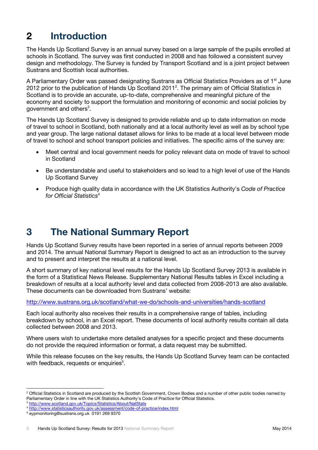# <span id="page-5-0"></span>**2 Introduction**

The Hands Up Scotland Survey is an annual survey based on a large sample of the pupils enrolled at schools in Scotland. The survey was first conducted in 2008 and has followed a consistent survey design and methodology. The Survey is funded by Transport Scotland and is a joint project between Sustrans and Scottish local authorities.

A Parliamentary Order was passed designating Sustrans as Official Statistics Providers as of 1<sup>st</sup> June 2012 prior to the publication of Hands Up Scotland 2011<sup>2</sup>. The primary aim of Official Statistics in Scotland is to provide an accurate, up-to-date, comprehensive and meaningful picture of the economy and society to support the formulation and monitoring of economic and social policies by government and others $^3$ .

The Hands Up Scotland Survey is designed to provide reliable and up to date information on mode of travel to school in Scotland, both nationally and at a local authority level as well as by school type and year group. The large national dataset allows for links to be made at a local level between mode of travel to school and school transport policies and initiatives. The specific aims of the survey are:

- Meet central and local government needs for policy relevant data on mode of travel to school in Scotland
- Be understandable and useful to stakeholders and so lead to a high level of use of the Hands Up Scotland Survey
- Produce high quality data in accordance with the UK Statistics Authority's *Code of Practice for Official Statistics*<sup>4</sup>

# <span id="page-5-1"></span>**3 The National Summary Report**

Hands Up Scotland Survey results have been reported in a series of annual reports between 2009 and 2014. The annual National Summary Report is designed to act as an introduction to the survey and to present and interpret the results at a national level.

A short summary of key national level results for the Hands Up Scotland Survey 2013 is available in the form of a Statistical News Release. Supplementary National Results tables in Excel including a breakdown of results at a local authority level and data collected from 2008-2013 are also available. These documents can be downloaded from Sustrans' website:

<http://www.sustrans.org.uk/scotland/what-we-do/schools-and-universities/hands-scotland>

Each local authority also receives their results in a comprehensive range of tables, including breakdown by school, in an Excel report. These documents of local authority results contain all data collected between 2008 and 2013.

Where users wish to undertake more detailed analyses for a specific project and these documents do not provide the required information or format, a data request may be submitted.

While this release focuses on the key results, the Hands Up Scotland Survey team can be contacted with feedback, requests or enquiries<sup>5</sup>.

<sup>&</sup>lt;sup>2</sup> Official Statistics in Scotland are produced by the Scottish Government, Crown Bodies and a number of other public bodies named by Parliamentary Order in line with the UK Statistics Authority's Code of Practice for Official Statistics.

<sup>3</sup> <http://www.scotland.gov.uk/Topics/Statistics/About/NatStats>

<sup>4</sup> <http://www.statisticsauthority.gov.uk/assessment/code-of-practice/index.html>

<sup>5</sup> [eypmonitoring@sustrans.org.uk](mailto:eypmonitoring@sustrans.org.uk) 0191 269 9370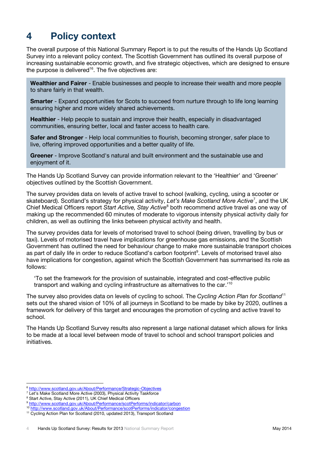# <span id="page-6-0"></span>**4 Policy context**

The overall purpose of this National Summary Report is to put the results of the Hands Up Scotland Survey into a relevant policy context. The Scottish Government has outlined its overall purpose of increasing sustainable economic growth, and five strategic objectives, which are designed to ensure the purpose is delivered $^{16}$ . The five objectives are:

**Wealthier and Fairer** - Enable businesses and people to increase their wealth and more people to share fairly in that wealth.

**Smarter** - Expand opportunities for Scots to succeed from nurture through to life long learning ensuring higher and more widely shared achievements.

**Healthier** - Help people to sustain and improve their health, especially in disadvantaged communities, ensuring better, local and faster access to health care.

**Safer and Stronger** - Help local communities to flourish, becoming stronger, safer place to live, offering improved opportunities and a better quality of life.

**Greener** - Improve Scotland's natural and built environment and the sustainable use and enjoyment of it.

The Hands Up Scotland Survey can provide information relevant to the 'Healthier' and 'Greener' objectives outlined by the Scottish Government.

The survey provides data on levels of active travel to school (walking, cycling, using a scooter or skateboard). Scotland's strategy for physical activity, *Let's Make Scotland More Active*<sup>7</sup> , and the UK Chief Medical Officers report *Start Active, Stay Active*<sup>8</sup> both recommend active travel as one way of making up the recommended 60 minutes of moderate to vigorous intensity physical activity daily for children, as well as outlining the links between physical activity and health.

The survey provides data for levels of motorised travel to school (being driven, travelling by bus or taxi). Levels of motorised travel have implications for greenhouse gas emissions, and the Scottish Government has outlined the need for behaviour change to make more sustainable transport choices as part of daily life in order to reduce Scotland's carbon footprint<sup>9</sup>. Levels of motorised travel also have implications for congestion, against which the Scottish Government has summarised its role as follows:

'To set the framework for the provision of sustainable, integrated and cost-effective public transport and walking and cycling infrastructure as alternatives to the car.'<sup>10</sup>

The survey also provides data on levels of cycling to school. The *Cycling Action Plan for Scotland*<sup>11</sup> sets out the shared vision of 10% of all journeys in Scotland to be made by bike by 2020, outlines a framework for delivery of this target and encourages the promotion of cycling and active travel to school.

The Hands Up Scotland Survey results also represent a large national dataset which allows for links to be made at a local level between mode of travel to school and school transport policies and initiatives.

<sup>6</sup> <http://www.scotland.gov.uk/About/Performance/Strategic-Objectives>

<sup>&</sup>lt;sup>7</sup> Let's Make Scotland More Active (2003), Physical Activity Taskforce

<sup>&</sup>lt;sup>8</sup> Start Active, Stay Active (2011), UK Chief Medical Officers

<sup>9</sup> <http://www.scotland.gov.uk/About/Performance/scotPerforms/indicator/carbon>

<sup>10</sup> <http://www.scotland.gov.uk/About/Performance/scotPerforms/indicator/congestion>

<sup>&</sup>lt;sup>11</sup> Cycling Action Plan for Scotland (2010, updated 2013), Transport Scotland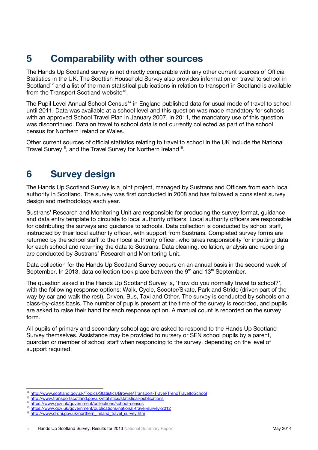# <span id="page-7-0"></span>**5 Comparability with other sources**

The Hands Up Scotland survey is not directly comparable with any other current sources of Official Statistics in the UK. The Scottish Household Survey also provides information on travel to school in Scotland<sup>12</sup> and a list of the main statistical publications in relation to transport in Scotland is available from the Transport Scotland website<sup>13</sup>.

The Pupil Level Annual School Census<sup>14</sup> in England published data for usual mode of travel to school until 2011. Data was available at a school level and this question was made mandatory for schools with an approved School Travel Plan in January 2007. In 2011, the mandatory use of this question was discontinued. Data on travel to school data is not currently collected as part of the school census for Northern Ireland or Wales.

Other current sources of official statistics relating to travel to school in the UK include the National Travel Survey<sup>15</sup>, and the Travel Survey for Northern Ireland<sup>16</sup>.

# <span id="page-7-1"></span>**6 Survey design**

The Hands Up Scotland Survey is a joint project, managed by Sustrans and Officers from each local authority in Scotland. The survey was first conducted in 2008 and has followed a consistent survey design and methodology each year.

Sustrans' Research and Monitoring Unit are responsible for producing the survey format, guidance and data entry template to circulate to local authority officers. Local authority officers are responsible for distributing the surveys and guidance to schools. Data collection is conducted by school staff, instructed by their local authority officer, with support from Sustrans. Completed survey forms are returned by the school staff to their local authority officer, who takes responsibility for inputting data for each school and returning the data to Sustrans. Data cleaning, collation, analysis and reporting are conducted by Sustrans' Research and Monitoring Unit.

Data collection for the Hands Up Scotland Survey occurs on an annual basis in the second week of September. In 2013, data collection took place between the  $9<sup>th</sup>$  and 13<sup>th</sup> September.

The question asked in the Hands Up Scotland Survey is, 'How do you normally travel to school?', with the following response options: Walk, Cycle, Scooter/Skate, Park and Stride (driven part of the way by car and walk the rest), Driven, Bus, Taxi and Other. The survey is conducted by schools on a class-by-class basis. The number of pupils present at the time of the survey is recorded, and pupils are asked to raise their hand for each response option. A manual count is recorded on the survey form.

All pupils of primary and secondary school age are asked to respond to the Hands Up Scotland Survey themselves. Assistance may be provided to nursery or SEN school pupils by a parent, guardian or member of school staff when responding to the survey, depending on the level of support required.

<sup>12</sup> <http://www.scotland.gov.uk/Topics/Statistics/Browse/Transport-Travel/TrendTraveltoSchool>

<sup>13</sup> <http://www.transportscotland.gov.uk/statistics/statistical-publications>

<sup>14</sup> <https://www.gov.uk/government/collections/school-census>

<sup>15</sup> <https://www.gov.uk/government/publications/national-travel-survey-2012>

<sup>16</sup> [http://www.drdni.gov.uk/northern\\_ireland\\_travel\\_survey.htm](http://www.drdni.gov.uk/northern_ireland_travel_survey.htm)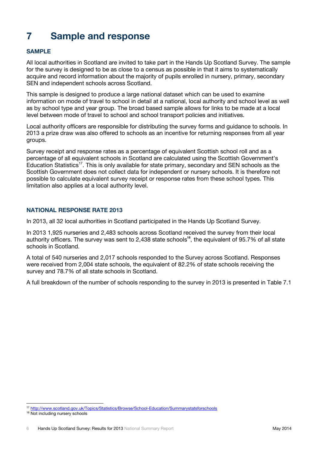# <span id="page-8-0"></span>**7 Sample and response**

# **SAMPLE**

All local authorities in Scotland are invited to take part in the Hands Up Scotland Survey. The sample for the survey is designed to be as close to a census as possible in that it aims to systematically acquire and record information about the majority of pupils enrolled in nursery, primary, secondary SEN and independent schools across Scotland.

This sample is designed to produce a large national dataset which can be used to examine information on mode of travel to school in detail at a national, local authority and school level as well as by school type and year group. The broad based sample allows for links to be made at a local level between mode of travel to school and school transport policies and initiatives.

Local authority officers are responsible for distributing the survey forms and guidance to schools. In 2013 a prize draw was also offered to schools as an incentive for returning responses from all year groups.

Survey receipt and response rates as a percentage of equivalent Scottish school roll and as a percentage of all equivalent schools in Scotland are calculated using the Scottish Government's Education Statistics<sup>17</sup>. This is only available for state primary, secondary and SEN schools as the Scottish Government does not collect data for independent or nursery schools. It is therefore not possible to calculate equivalent survey receipt or response rates from these school types. This limitation also applies at a local authority level.

# **NATIONAL RESPONSE RATE 2013**

In 2013, all 32 local authorities in Scotland participated in the Hands Up Scotland Survey.

In 2013 1,925 nurseries and 2,483 schools across Scotland received the survey from their local authority officers. The survey was sent to 2,438 state schools**<sup>18</sup>**, the equivalent of 95.7% of all state schools in Scotland.

A total of 540 nurseries and 2,017 schools responded to the Survey across Scotland. Responses were received from 2,004 state schools, the equivalent of 82.2% of state schools receiving the survey and 78.7% of all state schools in Scotland.

A full breakdown of the number of schools responding to the survey in 2013 is presented in Table 7.1

<sup>17</sup> <http://www.scotland.gov.uk/Topics/Statistics/Browse/School-Education/Summarystatsforschools>

<sup>&</sup>lt;sup>18</sup> Not including nursery schools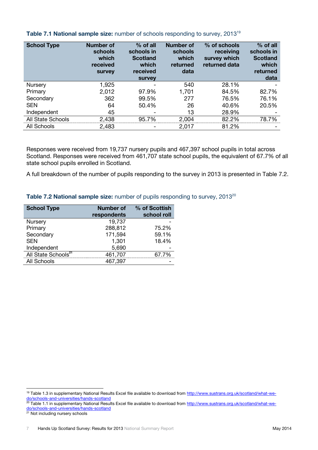| <b>School Type</b> | <b>Number of</b><br>schools<br>which<br>received<br><b>Survey</b> | % of all<br>schools in<br><b>Scotland</b><br>which<br>received<br><b>survey</b> | <b>Number of</b><br>schools<br>which<br>returned<br>data | % of schools<br>receiving<br>survey which<br>returned data | $%$ of all<br>schools in<br><b>Scotland</b><br>which<br>returned<br>data |
|--------------------|-------------------------------------------------------------------|---------------------------------------------------------------------------------|----------------------------------------------------------|------------------------------------------------------------|--------------------------------------------------------------------------|
| Nursery            | 1,925                                                             |                                                                                 | 540                                                      | 28.1%                                                      |                                                                          |
| Primary            | 2,012                                                             | 97.9%                                                                           | 1,701                                                    | 84.5%                                                      | 82.7%                                                                    |
| Secondary          | 362                                                               | 99.5%                                                                           | 277                                                      | 76.5%                                                      | 76.1%                                                                    |
| <b>SEN</b>         | 64                                                                | 50.4%                                                                           | 26                                                       | 40.6%                                                      | 20.5%                                                                    |
| Independent        | 45                                                                |                                                                                 | 13                                                       | 28.9%                                                      |                                                                          |
| All State Schools  | 2,438                                                             | 95.7%                                                                           | 2,004                                                    | 82.2%                                                      | 78.7%                                                                    |
| All Schools        | 2,483                                                             |                                                                                 | 2,017                                                    | 81.2%                                                      |                                                                          |

# **Table 7.1 National sample size:** number of schools responding to survey, 2013<sup>19</sup>

Responses were received from 19,737 nursery pupils and 467,397 school pupils in total across Scotland. Responses were received from 461,707 state school pupils, the equivalent of 67.7% of all state school pupils enrolled in Scotland.

A full breakdown of the number of pupils responding to the survey in 2013 is presented in Table 7.2.

# **Table 7.2 National sample size:** number of pupils responding to survey, 2013<sup>20</sup>

| <b>School Type</b>              | <b>Number of</b> | % of Scottish |
|---------------------------------|------------------|---------------|
|                                 | respondents      | school roll   |
| Nursery                         | 19,737           |               |
| Primary                         | 288,812          | 75.2%         |
| Secondary                       | 171,594          | 59.1%         |
| <b>SEN</b>                      | 1,301            | 18.4%         |
| Independent                     | 5,690            |               |
| All State Schools <sup>21</sup> | 461,707          | 67.7%         |
| All Schools                     | 467,397          |               |

<sup>&</sup>lt;sup>19</sup> Table 1.3 in supplementary National Results Excel file available to download from [http://www.sustrans.org.uk/scotland/what-we](http://www.sustrans.org.uk/scotland/what-we-do/schools-and-universities/hands-scotland)[do/schools-and-universities/hands-scotland](http://www.sustrans.org.uk/scotland/what-we-do/schools-and-universities/hands-scotland)

<sup>&</sup>lt;sup>20</sup> Table 1.1 in supplementary National Results Excel file available to download from [http://www.sustrans.org.uk/scotland/what-we](http://www.sustrans.org.uk/scotland/what-we-do/schools-and-universities/hands-scotland)[do/schools-and-universities/hands-scotland](http://www.sustrans.org.uk/scotland/what-we-do/schools-and-universities/hands-scotland)

<sup>21</sup> Not including nursery schools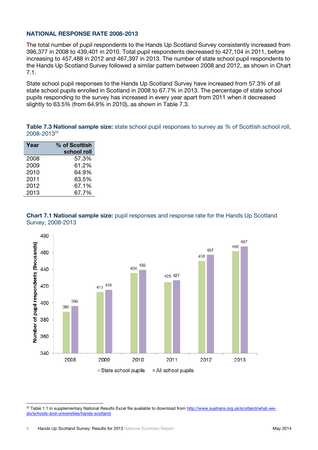# **NATIONAL RESPONSE RATE 2008-2013**

The total number of pupil respondents to the Hands Up Scotland Survey consistently increased from 396,377 in 2008 to 439,401 in 2010. Total pupil respondents decreased to 427,104 in 2011, before increasing to 457,488 in 2012 and 467,397 in 2013. The number of state school pupil respondents to the Hands Up Scotland Survey followed a similar pattern between 2008 and 2012, as shown in Chart 7.1.

State school pupil responses to the Hands Up Scotland Survey have increased from 57.3% of all state school pupils enrolled in Scotland in 2008 to 67.7% in 2013. The percentage of state school pupils responding to the survey has increased in every year apart from 2011 when it decreased slightly to 63.5% (from 64.9% in 2010), as shown in Table 7.3.

**Table 7.3 National sample size:** state school pupil responses to survey as % of Scottish school roll, 2008-2013<sup>22</sup>

| Year | % of Scottish |
|------|---------------|
|      | school roll   |
| 2008 | 57.3%         |
| 2009 | 61.2%         |
| 2010 | 64.9%         |
| 2011 | 63.5%         |
| 2012 | 67.1%         |
| 2013 | 67.7%         |
|      |               |





 <sup>22</sup> Table 1.1 in supplementary National Results Excel file available to download from [http://www.sustrans.org.uk/scotland/what-we](http://www.sustrans.org.uk/scotland/what-we-do/schools-and-universities/hands-scotland)[do/schools-and-universities/hands-scotland](http://www.sustrans.org.uk/scotland/what-we-do/schools-and-universities/hands-scotland)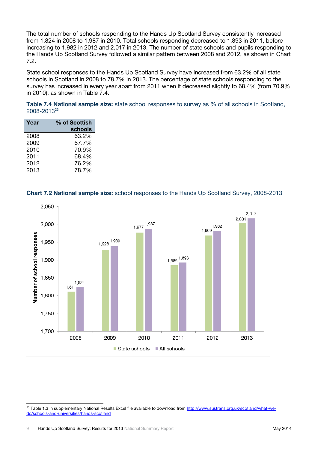The total number of schools responding to the Hands Up Scotland Survey consistently increased from 1,824 in 2008 to 1,987 in 2010. Total schools responding decreased to 1,893 in 2011, before increasing to 1,982 in 2012 and 2,017 in 2013. The number of state schools and pupils responding to the Hands Up Scotland Survey followed a similar pattern between 2008 and 2012, as shown in Chart 7.2.

State school responses to the Hands Up Scotland Survey have increased from 63.2% of all state schools in Scotland in 2008 to 78.7% in 2013. The percentage of state schools responding to the survey has increased in every year apart from 2011 when it decreased slightly to 68.4% (from 70.9% in 2010), as shown in Table 7.4.

**Table 7.4 National sample size:** state school responses to survey as % of all schools in Scotland, 2008-2013<sup>23</sup>

| Year | % of Scottish<br>schools |
|------|--------------------------|
| 2008 | 63.2%                    |
| 2009 | 67.7%                    |
| 2010 | 70.9%                    |
| 2011 | 68.4%                    |
| 2012 | 76.2%                    |
| 2013 | 78.7%                    |

### **Chart 7.2 National sample size:** school responses to the Hands Up Scotland Survey, 2008-2013



<sup>&</sup>lt;sup>23</sup> Table 1.3 in supplementary National Results Excel file available to download from [http://www.sustrans.org.uk/scotland/what-we](http://www.sustrans.org.uk/scotland/what-we-do/schools-and-universities/hands-scotland)[do/schools-and-universities/hands-scotland](http://www.sustrans.org.uk/scotland/what-we-do/schools-and-universities/hands-scotland)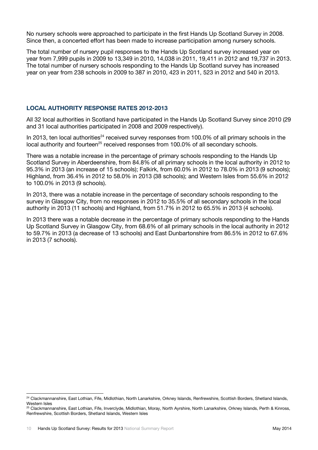No nursery schools were approached to participate in the first Hands Up Scotland Survey in 2008. Since then, a concerted effort has been made to increase participation among nursery schools.

The total number of nursery pupil responses to the Hands Up Scotland survey increased year on year from 7,999 pupils in 2009 to 13,349 in 2010, 14,038 in 2011, 19,411 in 2012 and 19,737 in 2013. The total number of nursery schools responding to the Hands Up Scotland survey has increased year on year from 238 schools in 2009 to 387 in 2010, 423 in 2011, 523 in 2012 and 540 in 2013.

# **LOCAL AUTHORITY RESPONSE RATES 2012-2013**

All 32 local authorities in Scotland have participated in the Hands Up Scotland Survey since 2010 (29 and 31 local authorities participated in 2008 and 2009 respectively).

In 2013, ten local authorities<sup>24</sup> received survey responses from 100.0% of all primary schools in the local authority and fourteen<sup>25</sup> received responses from  $100.0\%$  of all secondary schools.

There was a notable increase in the percentage of primary schools responding to the Hands Up Scotland Survey in Aberdeenshire, from 84.8% of all primary schools in the local authority in 2012 to 95.3% in 2013 (an increase of 15 schools); Falkirk, from 60.0% in 2012 to 78.0% in 2013 (9 schools); Highland, from 36.4% in 2012 to 58.0% in 2013 (38 schools); and Western Isles from 55.6% in 2012 to 100.0% in 2013 (9 schools).

In 2013, there was a notable increase in the percentage of secondary schools responding to the survey in Glasgow City, from no responses in 2012 to 35.5% of all secondary schools in the local authority in 2013 (11 schools) and Highland, from 51.7% in 2012 to 65.5% in 2013 (4 schools).

In 2013 there was a notable decrease in the percentage of primary schools responding to the Hands Up Scotland Survey in Glasgow City, from 68.6% of all primary schools in the local authority in 2012 to 59.7% in 2013 (a decrease of 13 schools) and East Dunbartonshire from 86.5% in 2012 to 67.6% in 2013 (7 schools).

<sup>&</sup>lt;sup>24</sup> Clackmannanshire, East Lothian, Fife, Midlothian, North Lanarkshire, Orkney Islands, Renfrewshire, Scottish Borders, Shetland Islands, Western Isles

<sup>25</sup> Clackmannanshire, East Lothian, Fife, Inverclyde, Midlothian, Moray, North Ayrshire, North Lanarkshire, Orkney Islands, Perth & Kinross, Renfrewshire, Scottish Borders, Shetland Islands, Western Isles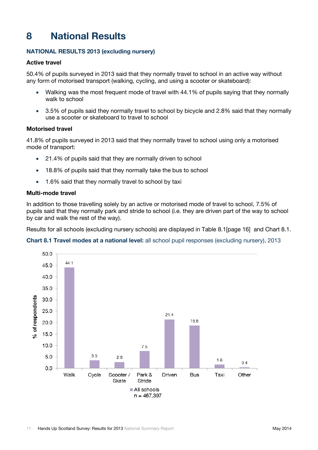# <span id="page-13-0"></span>**8 National Results**

# **NATIONAL RESULTS 2013 (excluding nursery)**

# **Active travel**

50.4% of pupils surveyed in 2013 said that they normally travel to school in an active way without any form of motorised transport (walking, cycling, and using a scooter or skateboard):

- Walking was the most frequent mode of travel with 44.1% of pupils saying that they normally walk to school
- 3.5% of pupils said they normally travel to school by bicycle and 2.8% said that they normally use a scooter or skateboard to travel to school

# **Motorised travel**

41.8% of pupils surveyed in 2013 said that they normally travel to school using only a motorised mode of transport:

- 21.4% of pupils said that they are normally driven to school
- 18.8% of pupils said that they normally take the bus to school
- 1.6% said that they normally travel to school by taxi

### **Multi-mode travel**

In addition to those travelling solely by an active or motorised mode of travel to school, 7.5% of pupils said that they normally park and stride to school (i.e. they are driven part of the way to school by car and walk the rest of the way).

Results for all schools (excluding nursery schools) are displayed in Table 8.1[page 16] and Chart 8.1.

# **Chart 8.1 Travel modes at a national level:** all school pupil responses (excluding nursery), 2013

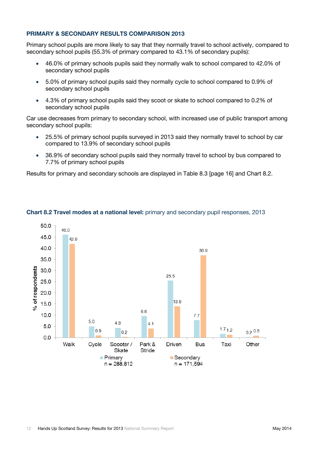# **PRIMARY & SECONDARY RESULTS COMPARISON 2013**

Primary school pupils are more likely to say that they normally travel to school actively, compared to secondary school pupils (55.3% of primary compared to 43.1% of secondary pupils):

- 46.0% of primary schools pupils said they normally walk to school compared to 42.0% of secondary school pupils
- 5.0% of primary school pupils said they normally cycle to school compared to 0.9% of secondary school pupils
- 4.3% of primary school pupils said they scoot or skate to school compared to 0.2% of secondary school pupils

Car use decreases from primary to secondary school, with increased use of public transport among secondary school pupils:

- 25.5% of primary school pupils surveyed in 2013 said they normally travel to school by car compared to 13.9% of secondary school pupils
- 36.9% of secondary school pupils said they normally travel to school by bus compared to 7.7% of primary school pupils

Results for primary and secondary schools are displayed in Table 8.3 [page 16] and Chart 8.2.



# **Chart 8.2 Travel modes at a national level:** primary and secondary pupil responses, 2013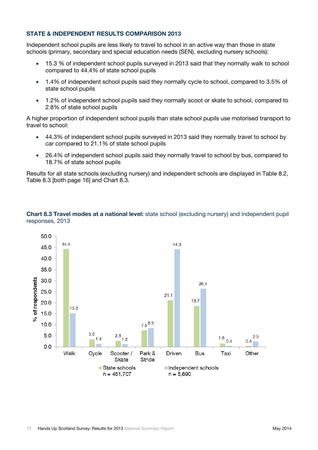# **STATE & INDEPENDENT RESULTS COMPARISON 2013**

Independent school pupils are less likely to travel to school in an active way than those in state schools (primary, secondary and special education needs (SEN), excluding nursery schools):

- 15.3 % of independent school pupils surveyed in 2013 said that they normally walk to school compared to 44.4% of state school pupils
- 1.4% of independent school pupils said they normally cycle to school, compared to 3.5% of state school pupils
- 1.2% of independent school pupils said they normally scoot or skate to school, compared to 2.8% of state school pupils

A higher proportion of independent school pupils than state school pupils use motorised transport to travel to school:

- 44.3% of independent school pupils surveyed in 2013 said they normally travel to school by car compared to 21.1% of state school pupils
- 26.4% of independent school pupils said they normally travel to school by bus, compared to 18.7% of state school pupils

Results for all state schools (excluding nursery) and independent schools are displayed in Table 8.2, Table 8.3 [both page 16] and Chart 8.3.



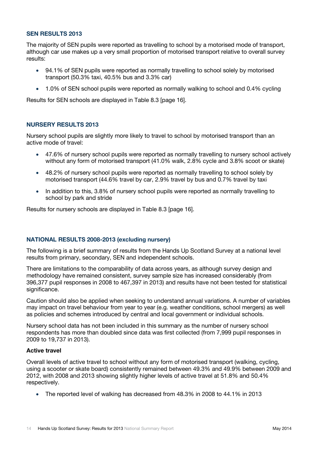# **SEN RESULTS 2013**

The majority of SEN pupils were reported as travelling to school by a motorised mode of transport, although car use makes up a very small proportion of motorised transport relative to overall survey results:

- 94.1% of SEN pupils were reported as normally travelling to school solely by motorised transport (50.3% taxi, 40.5% bus and 3.3% car)
- 1.0% of SEN school pupils were reported as normally walking to school and 0.4% cycling

Results for SEN schools are displayed in Table 8.3 [page 16].

### **NURSERY RESULTS 2013**

Nursery school pupils are slightly more likely to travel to school by motorised transport than an active mode of travel:

- 47.6% of nursery school pupils were reported as normally travelling to nursery school actively without any form of motorised transport (41.0% walk, 2.8% cycle and 3.8% scoot or skate)
- 48.2% of nursery school pupils were reported as normally travelling to school solely by motorised transport (44.6% travel by car, 2.9% travel by bus and 0.7% travel by taxi
- In addition to this, 3.8% of nursery school pupils were reported as normally travelling to school by park and stride

Results for nursery schools are displayed in Table 8.3 [page 16].

#### **NATIONAL RESULTS 2008-2013 (excluding nursery)**

The following is a brief summary of results from the Hands Up Scotland Survey at a national level results from primary, secondary, SEN and independent schools.

There are limitations to the comparability of data across years, as although survey design and methodology have remained consistent, survey sample size has increased considerably (from 396,377 pupil responses in 2008 to 467,397 in 2013) and results have not been tested for statistical significance.

Caution should also be applied when seeking to understand annual variations. A number of variables may impact on travel behaviour from year to year (e.g. weather conditions, school mergers) as well as policies and schemes introduced by central and local government or individual schools.

Nursery school data has not been included in this summary as the number of nursery school respondents has more than doubled since data was first collected (from 7,999 pupil responses in 2009 to 19,737 in 2013).

# **Active travel**

Overall levels of active travel to school without any form of motorised transport (walking, cycling, using a scooter or skate board) consistently remained between 49.3% and 49.9% between 2009 and 2012, with 2008 and 2013 showing slightly higher levels of active travel at 51.8% and 50.4% respectively.

The reported level of walking has decreased from 48.3% in 2008 to 44.1% in 2013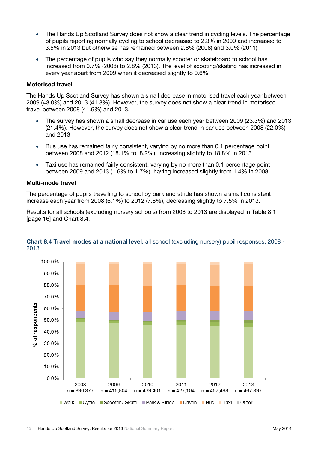- The Hands Up Scotland Survey does not show a clear trend in cycling levels. The percentage of pupils reporting normally cycling to school decreased to 2.3% in 2009 and increased to 3.5% in 2013 but otherwise has remained between 2.8% (2008) and 3.0% (2011)
- The percentage of pupils who say they normally scooter or skateboard to school has increased from 0.7% (2008) to 2.8% (2013). The level of scooting/skating has increased in every year apart from 2009 when it decreased slightly to 0.6%

### **Motorised travel**

The Hands Up Scotland Survey has shown a small decrease in motorised travel each year between 2009 (43.0%) and 2013 (41.8%). However, the survey does not show a clear trend in motorised travel between 2008 (41.6%) and 2013.

- The survey has shown a small decrease in car use each year between 2009 (23.3%) and 2013 (21.4%). However, the survey does not show a clear trend in car use between 2008 (22.0%) and 2013
- Bus use has remained fairly consistent, varying by no more than 0.1 percentage point between 2008 and 2012 (18.1% to18.2%), increasing slightly to 18.8% in 2013
- Taxi use has remained fairly consistent, varying by no more than 0.1 percentage point between 2009 and 2013 (1.6% to 1.7%), having increased slightly from 1.4% in 2008

#### **Multi-mode travel**

The percentage of pupils travelling to school by park and stride has shown a small consistent increase each year from 2008 (6.1%) to 2012 (7.8%), decreasing slightly to 7.5% in 2013.

Results for all schools (excluding nursery schools) from 2008 to 2013 are displayed in Table 8.1 [page 16] and Chart 8.4.



### **Chart 8.4 Travel modes at a national level:** all school (excluding nursery) pupil responses, 2008 - 2013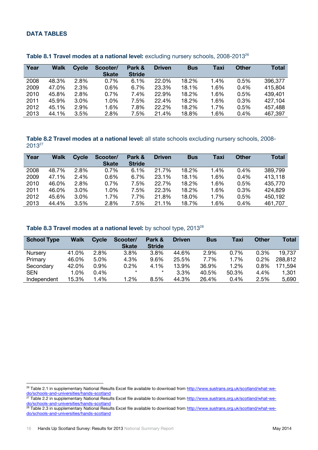# **DATA TABLES**

| Year | Walk  | <b>Cycle</b> | Scooter/<br><b>Skate</b> | Park &<br><b>Stride</b> | <b>Driven</b> | <b>Bus</b> | Taxi | <b>Other</b> | <b>Total</b> |
|------|-------|--------------|--------------------------|-------------------------|---------------|------------|------|--------------|--------------|
|      |       |              |                          |                         |               |            |      |              |              |
| 2008 | 48.3% | 2.8%         | 0.7%                     | 6.1%                    | 22.0%         | 18.2%      | 1.4% | 0.5%         | 396,377      |
| 2009 | 47.0% | 2.3%         | 0.6%                     | 6.7%                    | 23.3%         | 18.1%      | 1.6% | 0.4%         | 415,804      |
| 2010 | 45.8% | 2.8%         | 0.7%                     | 7.4%                    | 22.9%         | 18.2%      | 1.6% | 0.5%         | 439,401      |
| 2011 | 45.9% | 3.0%         | 1.0%                     | 7.5%                    | 22.4%         | 18.2%      | 1.6% | 0.3%         | 427,104      |
| 2012 | 45.1% | 2.9%         | 1.6%                     | 7.8%                    | 22.2%         | 18.2%      | 1.7% | 0.5%         | 457,488      |
| 2013 | 44.1% | 3.5%         | 2.8%                     | 7.5%                    | 21.4%         | 18.8%      | 1.6% | 0.4%         | 467,397      |

#### Table 8.1 Travel modes at a national level: excluding nursery schools, 2008-2013<sup>26</sup>

**Table 8.2 Travel modes at a national level:** all state schools excluding nursery schools, 2008- 2013<sup>27</sup>

| Year | <b>Walk</b> | Cycle | Scooter/<br><b>Skate</b> | Park &<br><b>Stride</b> | <b>Driven</b> | <b>Bus</b> | Taxi | <b>Other</b> | Total   |
|------|-------------|-------|--------------------------|-------------------------|---------------|------------|------|--------------|---------|
| 2008 | 48.7%       | 2.8%  | 0.7%                     | 6.1%                    | 21.7%         | 18.2%      | 1.4% | $0.4\%$      | 389,799 |
| 2009 | 47.1%       | 2.4%  | 0.6%                     | 6.7%                    | 23.1%         | 18.1%      | 1.6% | 0.4%         | 413,118 |
| 2010 | 46.0%       | 2.8%  | 0.7%                     | 7.5%                    | 22.7%         | 18.2%      | 1.6% | 0.5%         | 435,770 |
| 2011 | 46.0%       | 3.0%  | 1.0%                     | 7.5%                    | 22.3%         | 18.2%      | 1.6% | 0.3%         | 424.829 |
| 2012 | 45.6%       | 3.0%  | 1.7%                     | 7.7%                    | 21.8%         | 18.0%      | 1.7% | 0.5%         | 450,192 |
| 2013 | 44.4%       | 3.5%  | 2.8%                     | 7.5%                    | 21.1%         | 18.7%      | 1.6% | 0.4%         | 461,707 |

### Table 8.3 Travel modes at a national level: by school type, 2013<sup>28</sup>

| <b>School Type</b> | <b>Walk</b> | <b>Cycle</b> | Scooter/<br><b>Skate</b> | Park &<br><b>Stride</b> | <b>Driven</b> | <b>Bus</b> | Taxi  | <b>Other</b> | Total   |
|--------------------|-------------|--------------|--------------------------|-------------------------|---------------|------------|-------|--------------|---------|
| Nursery            | 41.0%       | 2.8%         | 3.8%                     | 3.8%                    | 44.6%         | 2.9%       | 0.7%  | 0.3%         | 19,737  |
| Primary            | 46.0%       | 5.0%         | 4.3%                     | 9.6%                    | 25.5%         | 7.7%       | 1.7%  | 0.2%         | 288,812 |
| Secondary          | 42.0%       | 0.9%         | 0.2%                     | 4.1%                    | 13.9%         | 36.9%      | 1.2%  | $0.8\%$      | 171,594 |
| <b>SEN</b>         | 1.0%        | 0.4%         | $\star$                  | $\star$                 | 3.3%          | 40.5%      | 50.3% | 4.4%         | 1,301   |
| Independent        | 15.3%       | 1.4%         | 1.2%                     | 8.5%                    | 44.3%         | 26.4%      | 0.4%  | 2.5%         | 5,690   |

<sup>&</sup>lt;sup>26</sup> Table 2.1 in supplementary National Results Excel file available to download from [http://www.sustrans.org.uk/scotland/what-we](http://www.sustrans.org.uk/scotland/what-we-do/schools-and-universities/hands-scotland)[do/schools-and-universities/hands-scotland](http://www.sustrans.org.uk/scotland/what-we-do/schools-and-universities/hands-scotland)

<sup>&</sup>lt;sup>27</sup> Table 2.2 in supplementary National Results Excel file available to download from [http://www.sustrans.org.uk/scotland/what-we](http://www.sustrans.org.uk/scotland/what-we-do/schools-and-universities/hands-scotland)[do/schools-and-universities/hands-scotland](http://www.sustrans.org.uk/scotland/what-we-do/schools-and-universities/hands-scotland)

<sup>&</sup>lt;sup>28</sup> Table 2.3 in supplementary National Results Excel file available to download from <u>http://www.sustrans.org.uk/scotland/what-we-</u> [do/schools-and-universities/hands-scotland](http://www.sustrans.org.uk/scotland/what-we-do/schools-and-universities/hands-scotland)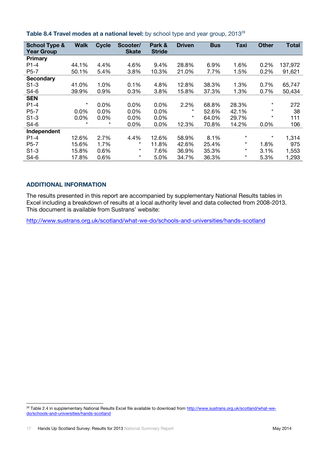| <b>School Type &amp;</b> | <b>Walk</b> | <b>Cycle</b> | Scooter/     | Park &        | <b>Driven</b> | <b>Bus</b> | <b>Taxi</b> | <b>Other</b> | <b>Total</b> |
|--------------------------|-------------|--------------|--------------|---------------|---------------|------------|-------------|--------------|--------------|
| <b>Year Group</b>        |             |              | <b>Skate</b> | <b>Stride</b> |               |            |             |              |              |
| Primary                  |             |              |              |               |               |            |             |              |              |
| $P1-4$                   | 44.1%       | 4.4%         | 4.6%         | 9.4%          | 28.8%         | 6.9%       | 1.6%        | 0.2%         | 137,972      |
| P5-7                     | 50.1%       | 5.4%         | 3.8%         | 10.3%         | 21.0%         | 7.7%       | 1.5%        | 0.2%         | 91,621       |
| <b>Secondary</b>         |             |              |              |               |               |            |             |              |              |
| $S1-3$                   | 41.0%       | 1.0%         | 0.1%         | 4.8%          | 12.8%         | 38.3%      | 1.3%        | 0.7%         | 65,747       |
| $S4-6$                   | 39.9%       | 0.9%         | 0.3%         | 3.8%          | 15.8%         | 37.3%      | 1.3%        | 0.7%         | 50,434       |
| <b>SEN</b>               |             |              |              |               |               |            |             |              |              |
| $P1-4$                   | $\star$     | 0.0%         | 0.0%         | 0.0%          | 2.2%          | 68.8%      | 28.3%       | $\star$      | 272          |
| $P5-7$                   | $0.0\%$     | 0.0%         | 0.0%         | 0.0%          | $^\star$      | 52.6%      | 42.1%       | $\star$      | 38           |
| $S1-3$                   | 0.0%        | 0.0%         | $0.0\%$      | $0.0\%$       | $^\star$      | 64.0%      | 29.7%       | $\star$      | 111          |
| $S4-6$                   | $\star$     | $^\star$     | 0.0%         | 0.0%          | 12.3%         | 70.8%      | 14.2%       | 0.0%         | 106          |
| Independent              |             |              |              |               |               |            |             |              |              |
| $P1-4$                   | 12.6%       | 2.7%         | 4.4%         | 12.6%         | 58.9%         | 8.1%       | $^\star$    | $\star$      | 1,314        |
| $P5-7$                   | 15.6%       | 1.7%         | $^\star$     | 11.8%         | 42.6%         | 25.4%      | $\star$     | 1.8%         | 975          |
| $S1-3$                   | 15.8%       | 0.6%         | $\star$      | 7.6%          | 36.9%         | 35.3%      | $^\star$    | 3.1%         | 1,553        |
| $S4-6$                   | 17.8%       | 0.6%         | $\star$      | 5.0%          | 34.7%         | 36.3%      | $^\star$    | 5.3%         | 1,293        |

**Table 8.4 Travel modes at a national level:** by school type and year group, 2013<sup>29</sup>

# **ADDITIONAL INFORMATION**

The results presented in this report are accompanied by supplementary National Results tables in Excel including a breakdown of results at a local authority level and data collected from 2008-2013. This document is available from Sustrans' website:

<http://www.sustrans.org.uk/scotland/what-we-do/schools-and-universities/hands-scotland>

 <sup>29</sup> Table 2.4 in supplementary National Results Excel file available to download from <u>http://www.sustrans.org.uk/scotland/what-we-</u> [do/schools-and-universities/hands-scotland](http://www.sustrans.org.uk/scotland/what-we-do/schools-and-universities/hands-scotland)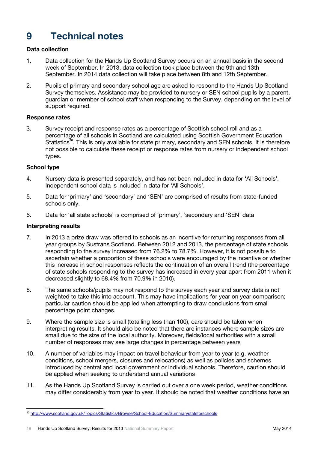# <span id="page-20-0"></span>**9 Technical notes**

# **Data collection**

- 1. Data collection for the Hands Up Scotland Survey occurs on an annual basis in the second week of September. In 2013, data collection took place between the 9th and 13th September. In 2014 data collection will take place between 8th and 12th September.
- 2. Pupils of primary and secondary school age are asked to respond to the Hands Up Scotland Survey themselves. Assistance may be provided to nursery or SEN school pupils by a parent, guardian or member of school staff when responding to the Survey, depending on the level of support required.

# **Response rates**

3. Survey receipt and response rates as a percentage of Scottish school roll and as a percentage of all schools in Scotland are calculated using Scottish Government Education Statistics<sup>30</sup>. This is only available for state primary, secondary and SEN schools. It is therefore not possible to calculate these receipt or response rates from nursery or independent school types.

### **School type**

- 4. Nursery data is presented separately, and has not been included in data for 'All Schools'. Independent school data is included in data for 'All Schools'.
- 5. Data for 'primary' and 'secondary' and 'SEN' are comprised of results from state-funded schools only.
- 6. Data for 'all state schools' is comprised of 'primary', 'secondary and 'SEN' data

#### **Interpreting results**

- 7. In 2013 a prize draw was offered to schools as an incentive for returning responses from all year groups by Sustrans Scotland. Between 2012 and 2013, the percentage of state schools responding to the survey increased from 76.2% to 78.7%. However, it is not possible to ascertain whether a proportion of these schools were encouraged by the incentive or whether this increase in school responses reflects the continuation of an overall trend (the percentage of state schools responding to the survey has increased in every year apart from 2011 when it decreased slightly to 68.4% from 70.9% in 2010).
- 8. The same schools/pupils may not respond to the survey each year and survey data is not weighted to take this into account. This may have implications for year on year comparison; particular caution should be applied when attempting to draw conclusions from small percentage point changes.
- 9. Where the sample size is small (totalling less than 100), care should be taken when interpreting results. It should also be noted that there are instances where sample sizes are small due to the size of the local authority. Moreover, fields/local authorities with a small number of responses may see large changes in percentage between years
- 10. A number of variables may impact on travel behaviour from year to year (e.g. weather conditions, school mergers, closures and relocations) as well as policies and schemes introduced by central and local government or individual schools. Therefore, caution should be applied when seeking to understand annual variations
- 11. As the Hands Up Scotland Survey is carried out over a one week period, weather conditions may differ considerably from year to year. It should be noted that weather conditions have an

<sup>30</sup> <http://www.scotland.gov.uk/Topics/Statistics/Browse/School-Education/Summarystatsforschools>